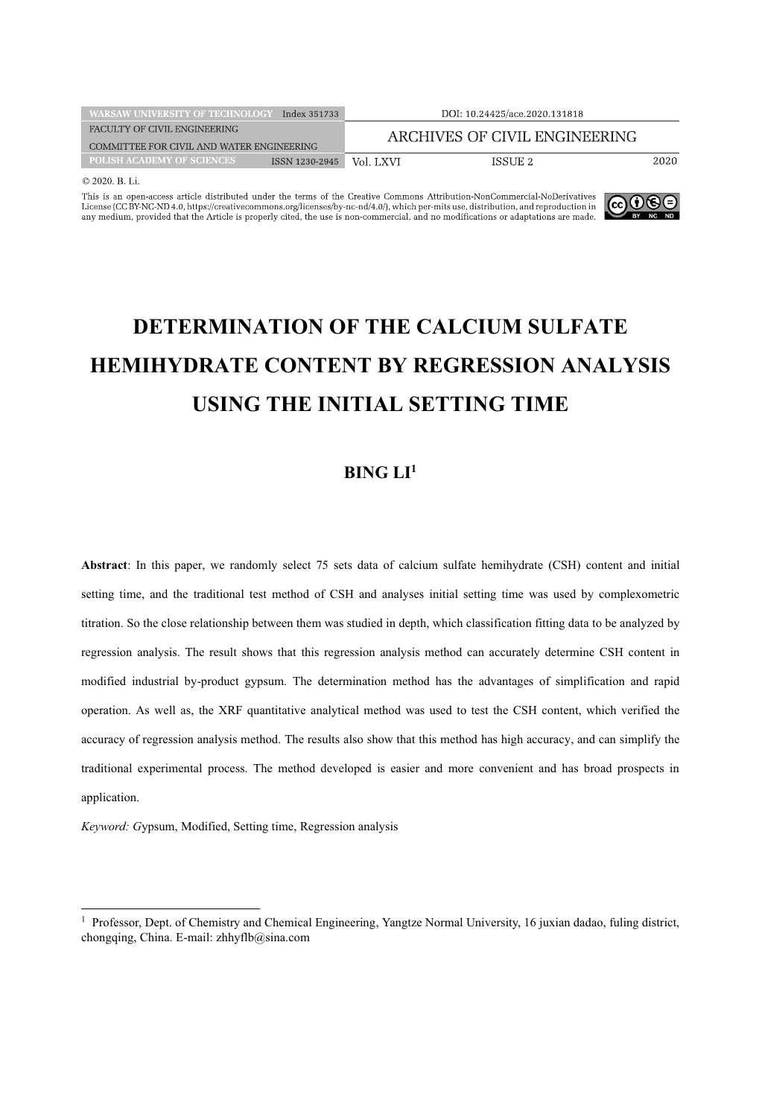| <b>WARSAW UNIVERSITY OF TECHNOLOGY</b>    | Index 351733   |           | DOI: 10.24425/ace.2020.131818 |      |
|-------------------------------------------|----------------|-----------|-------------------------------|------|
| FACULTY OF CIVIL ENGINEERING              |                |           | ARCHIVES OF CIVIL ENGINEERING |      |
| COMMITTEE FOR CIVIL AND WATER ENGINEERING |                |           |                               |      |
| <b>POLISH ACADEMY OF SCIENCES</b>         | ISSN 1230-2945 | Vol. LXVI | ISSUE 2                       | 2020 |
| $\otimes$ 2020 $\cup$ $\cup$              |                |           |                               |      |

This is an open-access article distributed under the terms of the Creative Commons Attribution-NonCommercial-NoDerivatives<br>License (CCBY-NO-A), the official commons.org/licenses/by-nc-nd/4.0), which per-mits use, distribu



# **DETERMINATION OF THE CALCIUM SULFATE HEMIHYDRATE CONTENT BY REGRESSION ANALYSIS USING THE INITIAL SETTING TIME**

## **BING LI1**

**Abstract**: In this paper, we randomly select 75 sets data of calcium sulfate hemihydrate (CSH) content and initial setting time, and the traditional test method of CSH and analyses initial setting time was used by complexometric titration. So the close relationship between them was studied in depth, which classification fitting data to be analyzed by regression analysis. The result shows that this regression analysis method can accurately determine CSH content in modified industrial by-product gypsum. The determination method has the advantages of simplification and rapid operation. As well as, the XRF quantitative analytical method was used to test the CSH content, which verified the accuracy of regression analysis method. The results also show that this method has high accuracy, and can simplify the traditional experimental process. The method developed is easier and more convenient and has broad prospects in application.

*Keyword: G*ypsum, Modified, Setting time, Regression analysis

<sup>1</sup> Professor, Dept. of Chemistry and Chemical Engineering, Yangtze Normal University, 16 juxian dadao, fuling district, chongqing, China. E-mail: zhhyflb@sina.com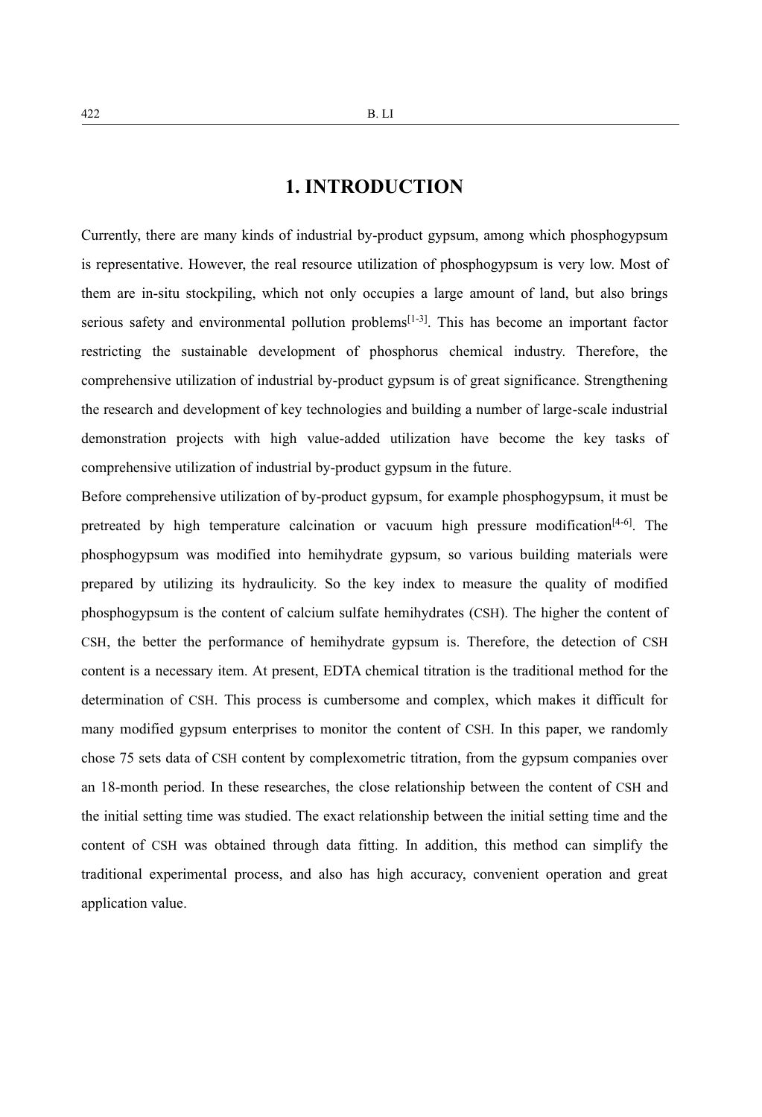# **1. INTRODUCTION**

Currently, there are many kinds of industrial by-product gypsum, among which phosphogypsum is representative. However, the real resource utilization of phosphogypsum is very low. Most of them are in-situ stockpiling, which not only occupies a large amount of land, but also brings serious safety and environmental pollution problems<sup>[1-3]</sup>. This has become an important factor restricting the sustainable development of phosphorus chemical industry. Therefore, the comprehensive utilization of industrial by-product gypsum is of great significance. Strengthening the research and development of key technologies and building a number of large-scale industrial demonstration projects with high value-added utilization have become the key tasks of comprehensive utilization of industrial by-product gypsum in the future.

Before comprehensive utilization of by-product gypsum, for example phosphogypsum, it must be pretreated by high temperature calcination or vacuum high pressure modification<sup>[4-6]</sup>. The phosphogypsum was modified into hemihydrate gypsum, so various building materials were prepared by utilizing its hydraulicity. So the key index to measure the quality of modified phosphogypsum is the content of calcium sulfate hemihydrates (CSH). The higher the content of CSH, the better the performance of hemihydrate gypsum is. Therefore, the detection of CSH content is a necessary item. At present, EDTA chemical titration is the traditional method for the determination of CSH. This process is cumbersome and complex, which makes it difficult for many modified gypsum enterprises to monitor the content of CSH. In this paper, we randomly chose 75 sets data of CSH content by complexometric titration, from the gypsum companies over an 18-month period. In these researches, the close relationship between the content of CSH and the initial setting time was studied. The exact relationship between the initial setting time and the content of CSH was obtained through data fitting. In addition, this method can simplify the traditional experimental process, and also has high accuracy, convenient operation and great application value.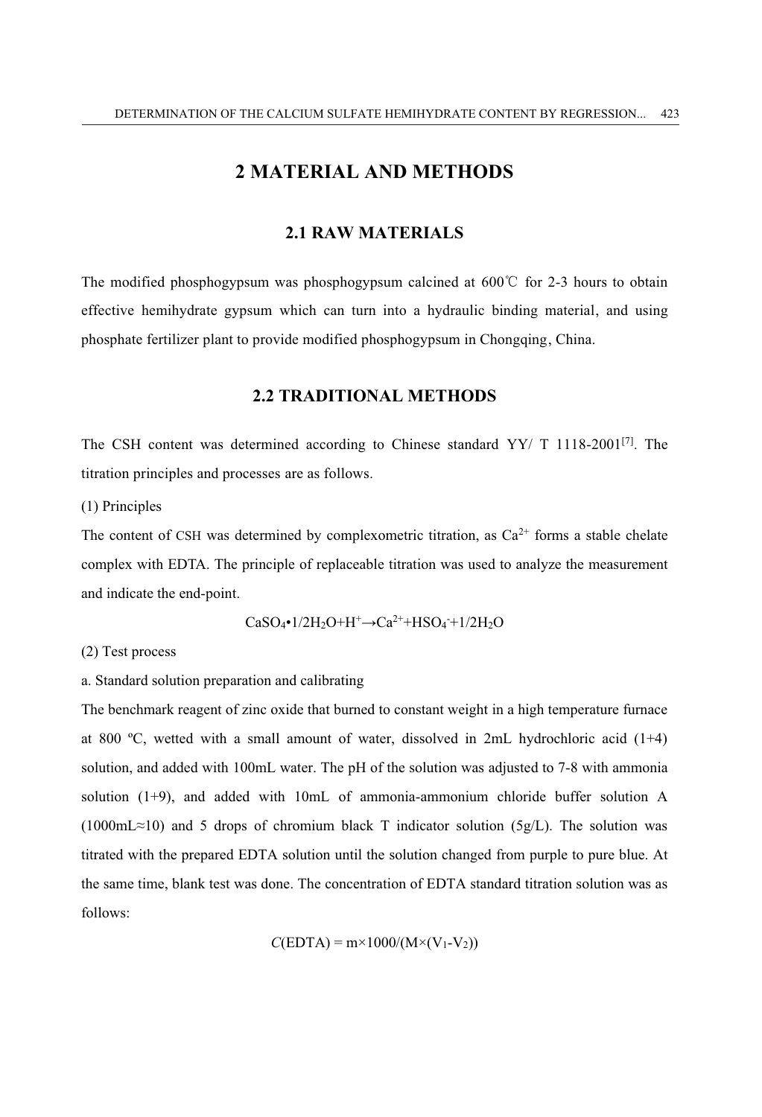# **2 MATERIAL AND METHODS**

## **2.1 RAW MATERIALS**

The modified phosphogypsum was phosphogypsum calcined at  $600^{\circ}$  for 2-3 hours to obtain effective hemihydrate gypsum which can turn into a hydraulic binding material, and using phosphate fertilizer plant to provide modified phosphogypsum in Chongqing, China.

### **2.2 TRADITIONAL METHODS**

The CSH content was determined according to Chinese standard YY/ T 1118-2001[7]. The titration principles and processes are as follows.

(1) Principles

The content of CSH was determined by complexometric titration, as  $Ca^{2+}$  forms a stable chelate complex with EDTA. The principle of replaceable titration was used to analyze the measurement and indicate the end-point.

$$
CaSO_4\bullet 1/2H_2O+H^+\rightarrow Ca^{2+}+HSO_4+1/2H_2O
$$

(2) Test process

a. Standard solution preparation and calibrating

The benchmark reagent of zinc oxide that burned to constant weight in a high temperature furnace at 800 ºC, wetted with a small amount of water, dissolved in 2mL hydrochloric acid (1+4) solution, and added with 100mL water. The pH of the solution was adjusted to 7-8 with ammonia solution (1+9), and added with 10mL of ammonia-ammonium chloride buffer solution A  $(1000 \text{mL} \approx 10)$  and 5 drops of chromium black T indicator solution  $(5g/L)$ . The solution was titrated with the prepared EDTA solution until the solution changed from purple to pure blue. At the same time, blank test was done. The concentration of EDTA standard titration solution was as follows:

$$
C(EDTA) = m \times 1000/(M \times (V_1 - V_2))
$$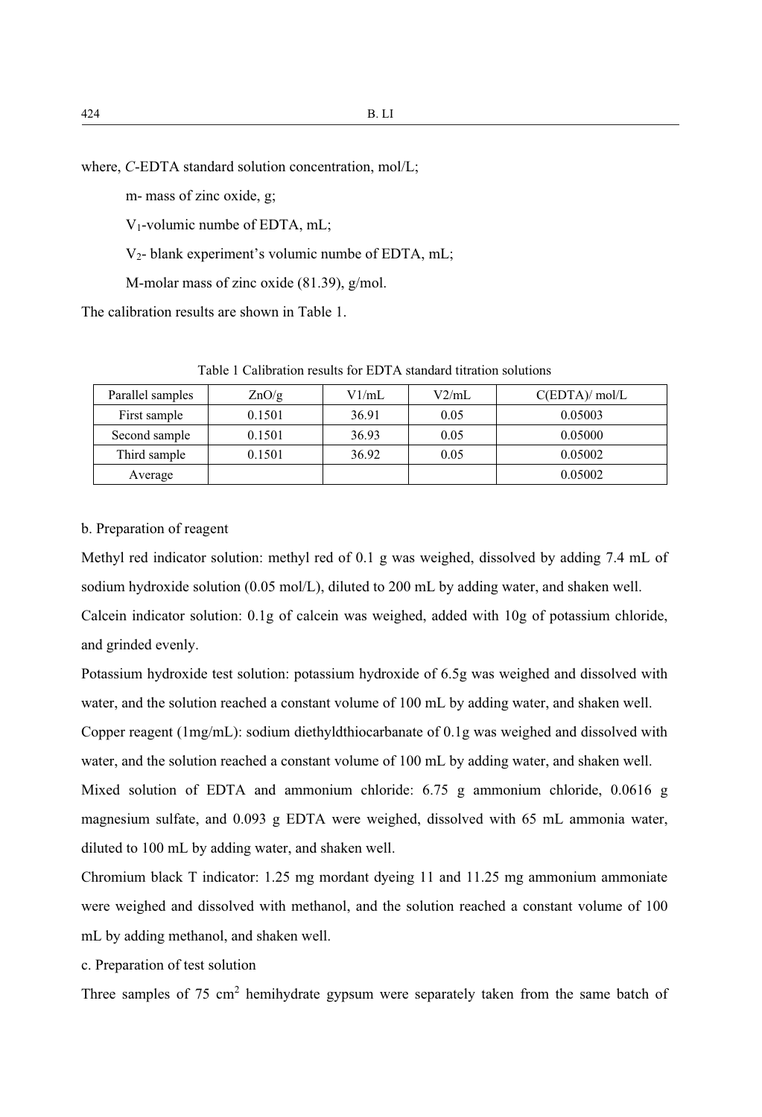where, *C*-EDTA standard solution concentration, mol/L;

m- mass of zinc oxide, g;

V1-volumic numbe of EDTA, mL;

V2- blank experiment's volumic numbe of EDTA, mL;

M-molar mass of zinc oxide (81.39), g/mol.

The calibration results are shown in Table 1.

| Parallel samples | ZnO/g  | V1/mL | V2/mL | C(EDTA)/mol/L |
|------------------|--------|-------|-------|---------------|
| First sample     | 0.1501 | 36.91 | 0.05  | 0.05003       |
| Second sample    | 0.1501 | 36.93 | 0.05  | 0.05000       |
| Third sample     | 0.1501 | 36.92 | 0.05  | 0.05002       |
| Average          |        |       |       | 0.05002       |

Table 1 Calibration results for EDTA standard titration solutions

#### b. Preparation of reagent

Methyl red indicator solution: methyl red of 0.1 g was weighed, dissolved by adding 7.4 mL of sodium hydroxide solution (0.05 mol/L), diluted to 200 mL by adding water, and shaken well. Calcein indicator solution: 0.1g of calcein was weighed, added with 10g of potassium chloride, and grinded evenly.

Potassium hydroxide test solution: potassium hydroxide of 6.5g was weighed and dissolved with water, and the solution reached a constant volume of 100 mL by adding water, and shaken well.

Copper reagent (1mg/mL): sodium diethyldthiocarbanate of 0.1g was weighed and dissolved with water, and the solution reached a constant volume of 100 mL by adding water, and shaken well.

Mixed solution of EDTA and ammonium chloride: 6.75 g ammonium chloride, 0.0616 g magnesium sulfate, and 0.093 g EDTA were weighed, dissolved with 65 mL ammonia water, diluted to 100 mL by adding water, and shaken well.

Chromium black T indicator: 1.25 mg mordant dyeing 11 and 11.25 mg ammonium ammoniate were weighed and dissolved with methanol, and the solution reached a constant volume of 100 mL by adding methanol, and shaken well.

c. Preparation of test solution

Three samples of  $75 \text{ cm}^2$  hemihydrate gypsum were separately taken from the same batch of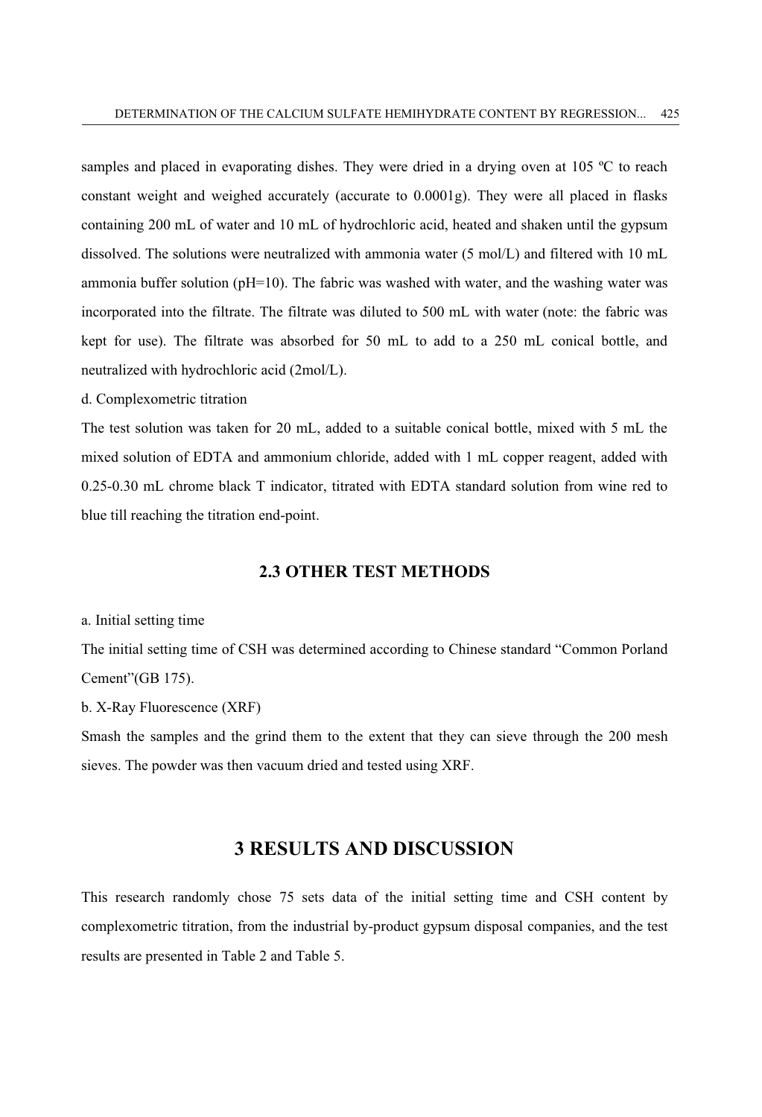samples and placed in evaporating dishes. They were dried in a drying oven at 105 °C to reach constant weight and weighed accurately (accurate to 0.0001g). They were all placed in flasks containing 200 mL of water and 10 mL of hydrochloric acid, heated and shaken until the gypsum dissolved. The solutions were neutralized with ammonia water (5 mol/L) and filtered with 10 mL ammonia buffer solution ( $pH=10$ ). The fabric was washed with water, and the washing water was incorporated into the filtrate. The filtrate was diluted to 500 mL with water (note: the fabric was kept for use). The filtrate was absorbed for 50 mL to add to a 250 mL conical bottle, and neutralized with hydrochloric acid (2mol/L).

d. Complexometric titration

The test solution was taken for 20 mL, added to a suitable conical bottle, mixed with 5 mL the mixed solution of EDTA and ammonium chloride, added with 1 mL copper reagent, added with 0.25-0.30 mL chrome black T indicator, titrated with EDTA standard solution from wine red to blue till reaching the titration end-point.

## **2.3 OTHER TEST METHODS**

#### a. Initial setting time

The initial setting time of CSH was determined according to Chinese standard "Common Porland Cement"(GB 175).

b. X-Ray Fluorescence (XRF)

Smash the samples and the grind them to the extent that they can sieve through the 200 mesh sieves. The powder was then vacuum dried and tested using XRF.

# **3 RESULTS AND DISCUSSION**

This research randomly chose 75 sets data of the initial setting time and CSH content by complexometric titration, from the industrial by-product gypsum disposal companies, and the test results are presented in Table 2 and Table 5.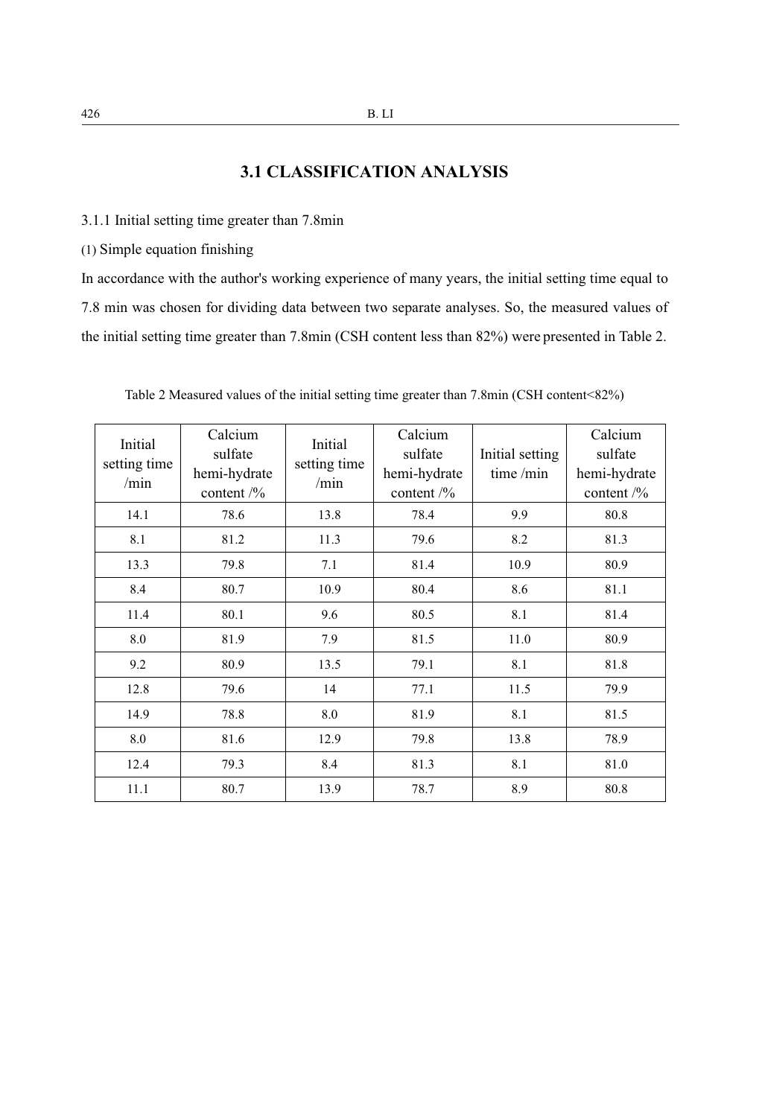# **3.1 CLASSIFICATION ANALYSIS**

3.1.1 Initial setting time greater than 7.8min

(1) Simple equation finishing

In accordance with the author's working experience of many years, the initial setting time equal to 7.8 min was chosen for dividing data between two separate analyses. So, the measured values of the initial setting time greater than 7.8min (CSH content less than 82%) were presented in Table 2.

| Initial<br>setting time<br>/min | Calcium<br>sulfate<br>hemi-hydrate<br>content $\frac{9}{6}$ | Initial<br>setting time<br>/min | Calcium<br>sulfate<br>hemi-hydrate<br>content $\frac{1}{2}$ | Initial setting<br>time $/min$ | Calcium<br>sulfate<br>hemi-hydrate<br>content $\frac{1}{2}$ |
|---------------------------------|-------------------------------------------------------------|---------------------------------|-------------------------------------------------------------|--------------------------------|-------------------------------------------------------------|
| 14.1                            | 78.6                                                        | 13.8                            | 78.4                                                        | 9.9                            | 80.8                                                        |
| 8.1                             | 81.2                                                        | 11.3                            | 79.6                                                        | 8.2                            | 81.3                                                        |
| 13.3                            | 79.8                                                        | 7.1                             | 81.4                                                        | 10.9                           | 80.9                                                        |
| 8.4                             | 80.7                                                        | 10.9                            | 80.4                                                        | 8.6                            | 81.1                                                        |
| 11.4                            | 80.1                                                        | 9.6                             | 80.5                                                        | 8.1                            | 81.4                                                        |
| 8.0                             | 81.9                                                        | 7.9                             | 81.5                                                        | 11.0                           | 80.9                                                        |
| 9.2                             | 80.9                                                        | 13.5                            | 79.1                                                        | 8.1                            | 81.8                                                        |
| 12.8                            | 79.6                                                        | 14                              | 77.1                                                        | 11.5                           | 79.9                                                        |
| 14.9                            | 78.8                                                        | 8.0                             | 81.9                                                        | 8.1                            | 81.5                                                        |
| 8.0                             | 81.6                                                        | 12.9                            | 79.8                                                        | 13.8                           | 78.9                                                        |
| 12.4                            | 79.3                                                        | 8.4                             | 81.3                                                        | 8.1                            | 81.0                                                        |
| 11.1                            | 80.7                                                        | 13.9                            | 78.7                                                        | 8.9                            | 80.8                                                        |

Table 2 Measured values of the initial setting time greater than 7.8min (CSH content<82%)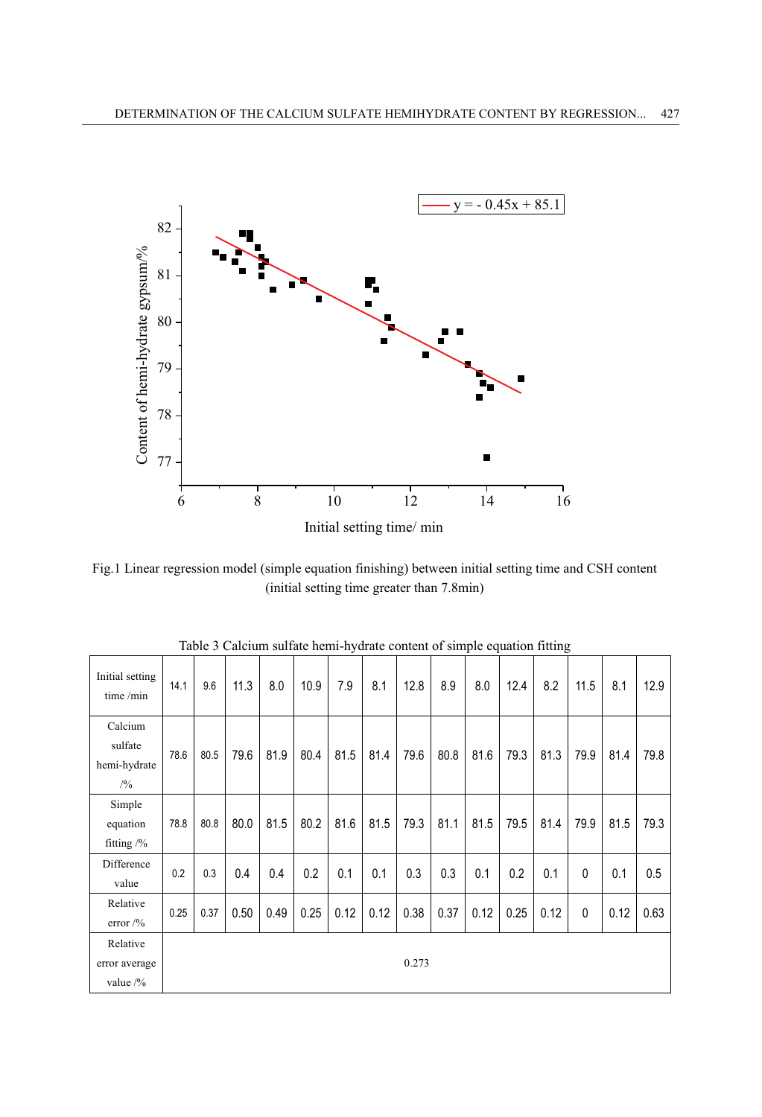

Fig.1 Linear regression model (simple equation finishing) between initial setting time and CSH content (initial setting time greater than 7.8min)

| Initial setting<br>time /min               | 14.1 | 9.6  | 11.3 | 8.0  | 10.9 | 7.9  | 8.1  | 12.8  | 8.9  | л.<br>8.0 | 12.4 | U<br>8.2 | 11.5         | 8.1  | 12.9 |
|--------------------------------------------|------|------|------|------|------|------|------|-------|------|-----------|------|----------|--------------|------|------|
| Calcium<br>sulfate<br>hemi-hydrate<br>/2/0 | 78.6 | 80.5 | 79.6 | 81.9 | 80.4 | 81.5 | 81.4 | 79.6  | 80.8 | 81.6      | 79.3 | 81.3     | 79.9         | 81.4 | 79.8 |
| Simple<br>equation<br>fitting $/$ %        | 78.8 | 80.8 | 80.0 | 81.5 | 80.2 | 81.6 | 81.5 | 79.3  | 81.1 | 81.5      | 79.5 | 81.4     | 79.9         | 81.5 | 79.3 |
| Difference<br>value                        | 0.2  | 0.3  | 0.4  | 0.4  | 0.2  | 0.1  | 0.1  | 0.3   | 0.3  | 0.1       | 0.2  | 0.1      | $\mathbf{0}$ | 0.1  | 0.5  |
| Relative<br>error $/9/6$                   | 0.25 | 0.37 | 0.50 | 0.49 | 0.25 | 0.12 | 0.12 | 0.38  | 0.37 | 0.12      | 0.25 | 0.12     | 0            | 0.12 | 0.63 |
| Relative<br>error average<br>value /%      |      |      |      |      |      |      |      | 0.273 |      |           |      |          |              |      |      |

Table 3 Calcium sulfate hemi-hydrate content of simple equation fitting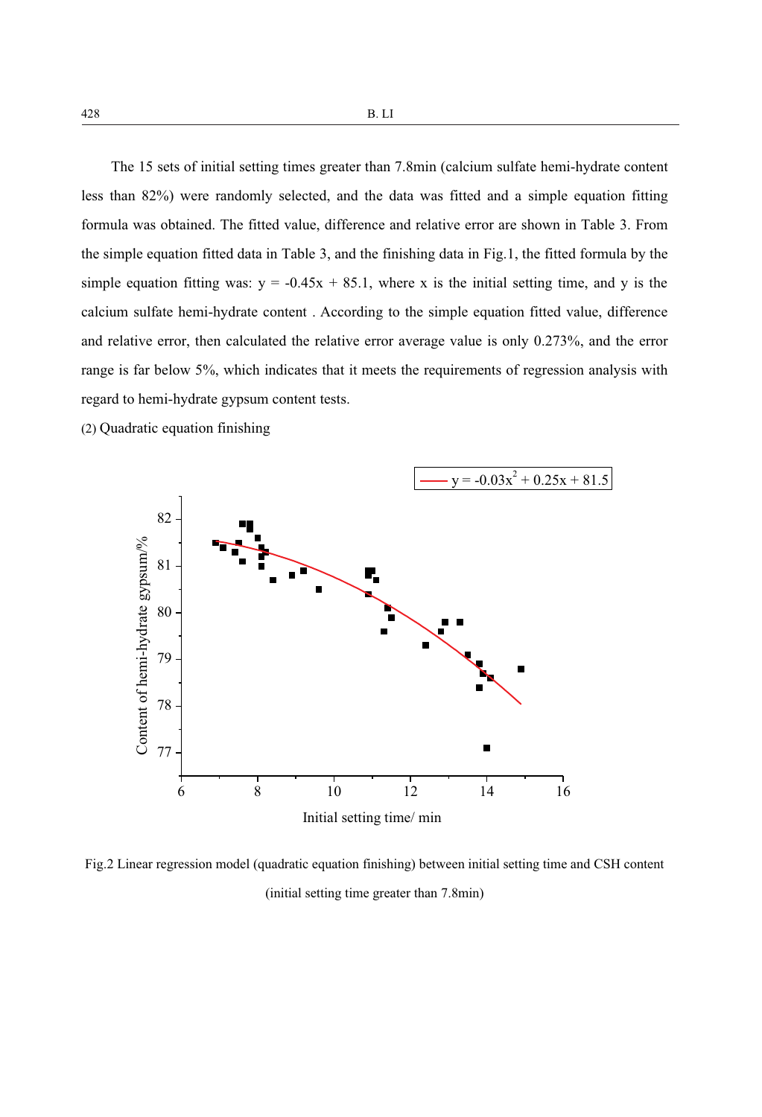The 15 sets of initial setting times greater than 7.8min (calcium sulfate hemi-hydrate content less than 82%) were randomly selected, and the data was fitted and a simple equation fitting formula was obtained. The fitted value, difference and relative error are shown in Table 3. From the simple equation fitted data in Table 3, and the finishing data in Fig.1, the fitted formula by the simple equation fitting was:  $y = -0.45x + 85.1$ , where x is the initial setting time, and y is the calcium sulfate hemi-hydrate content . According to the simple equation fitted value, difference and relative error, then calculated the relative error average value is only 0.273%, and the error range is far below 5%, which indicates that it meets the requirements of regression analysis with regard to hemi-hydrate gypsum content tests.

(2) Quadratic equation finishing



Fig.2 Linear regression model (quadratic equation finishing) between initial setting time and CSH content (initial setting time greater than 7.8min)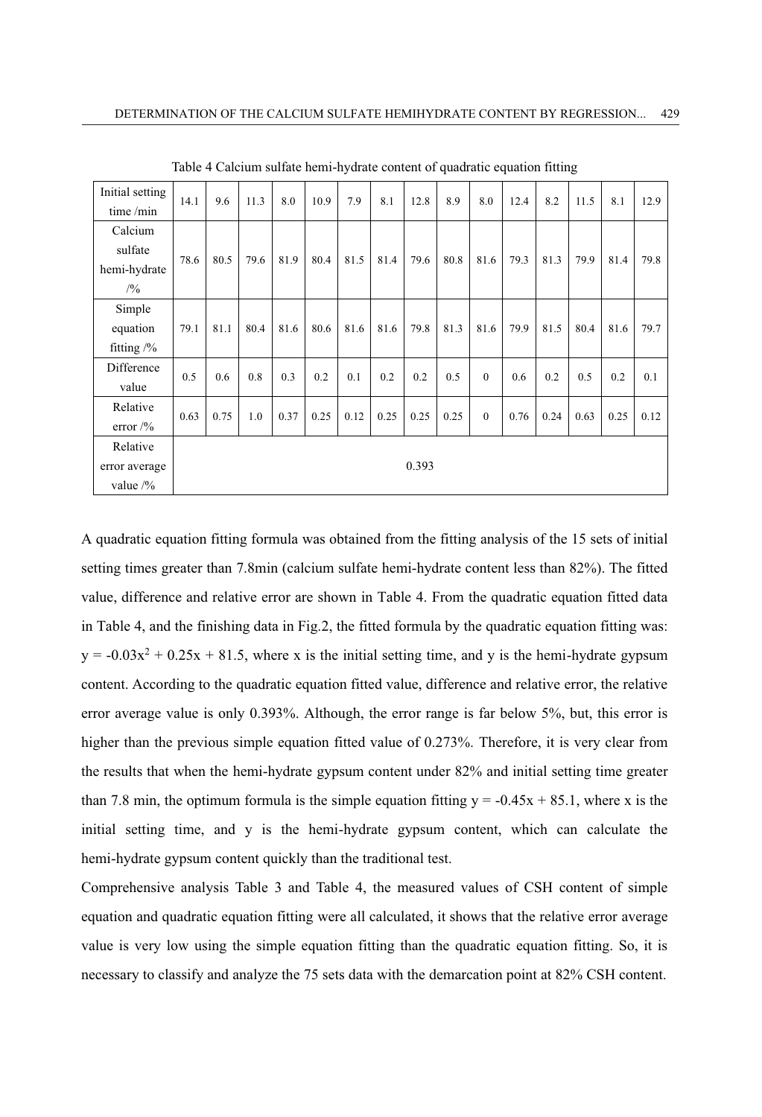| Initial setting       | 14.1 | 9.6  | 11.3 | 8.0  | 10.9 | 7.9  | 8.1  | 12.8  | 8.9  | 8.0      | 12.4 | 8.2  | 11.5 | 8.1  | 12.9 |
|-----------------------|------|------|------|------|------|------|------|-------|------|----------|------|------|------|------|------|
| time/min              |      |      |      |      |      |      |      |       |      |          |      |      |      |      |      |
| Calcium               |      |      |      |      |      |      |      |       |      |          |      |      |      |      |      |
| sulfate               | 78.6 | 80.5 | 79.6 | 81.9 | 80.4 | 81.5 | 81.4 | 79.6  | 80.8 | 81.6     | 79.3 | 81.3 | 79.9 | 81.4 | 79.8 |
| hemi-hydrate          |      |      |      |      |      |      |      |       |      |          |      |      |      |      |      |
| /9/0                  |      |      |      |      |      |      |      |       |      |          |      |      |      |      |      |
| Simple                |      |      |      |      |      |      |      |       |      |          |      |      |      |      |      |
| equation              | 79.1 | 81.1 | 80.4 | 81.6 | 80.6 | 81.6 | 81.6 | 79.8  | 81.3 | 81.6     | 79.9 | 81.5 | 80.4 | 81.6 | 79.7 |
| fitting $\frac{9}{6}$ |      |      |      |      |      |      |      |       |      |          |      |      |      |      |      |
| Difference            | 0.5  | 0.6  | 0.8  | 0.3  | 0.2  | 0.1  | 0.2  | 0.2   | 0.5  | $\theta$ | 0.6  | 0.2  | 0.5  | 0.2  | 0.1  |
| value                 |      |      |      |      |      |      |      |       |      |          |      |      |      |      |      |
| Relative              |      |      |      |      |      |      |      |       |      | $\theta$ |      |      |      |      |      |
| error $\frac{9}{6}$   | 0.63 | 0.75 | 1.0  | 0.37 | 0.25 | 0.12 | 0.25 | 0.25  | 0.25 |          | 0.76 | 0.24 | 0.63 | 0.25 | 0.12 |
| Relative              |      |      |      |      |      |      |      |       |      |          |      |      |      |      |      |
| error average         |      |      |      |      |      |      |      | 0.393 |      |          |      |      |      |      |      |
| value $\frac{9}{6}$   |      |      |      |      |      |      |      |       |      |          |      |      |      |      |      |

Table 4 Calcium sulfate hemi-hydrate content of quadratic equation fitting

A quadratic equation fitting formula was obtained from the fitting analysis of the 15 sets of initial setting times greater than 7.8min (calcium sulfate hemi-hydrate content less than 82%). The fitted value, difference and relative error are shown in Table 4. From the quadratic equation fitted data in Table 4, and the finishing data in Fig.2, the fitted formula by the quadratic equation fitting was:  $y = -0.03x^{2} + 0.25x + 81.5$ , where x is the initial setting time, and y is the hemi-hydrate gypsum content. According to the quadratic equation fitted value, difference and relative error, the relative error average value is only 0.393%. Although, the error range is far below 5%, but, this error is higher than the previous simple equation fitted value of 0.273%. Therefore, it is very clear from the results that when the hemi-hydrate gypsum content under 82% and initial setting time greater than 7.8 min, the optimum formula is the simple equation fitting  $y = -0.45x + 85.1$ , where x is the initial setting time, and y is the hemi-hydrate gypsum content, which can calculate the hemi-hydrate gypsum content quickly than the traditional test.

Comprehensive analysis Table 3 and Table 4, the measured values of CSH content of simple equation and quadratic equation fitting were all calculated, it shows that the relative error average value is very low using the simple equation fitting than the quadratic equation fitting. So, it is necessary to classify and analyze the 75 sets data with the demarcation point at 82% CSH content.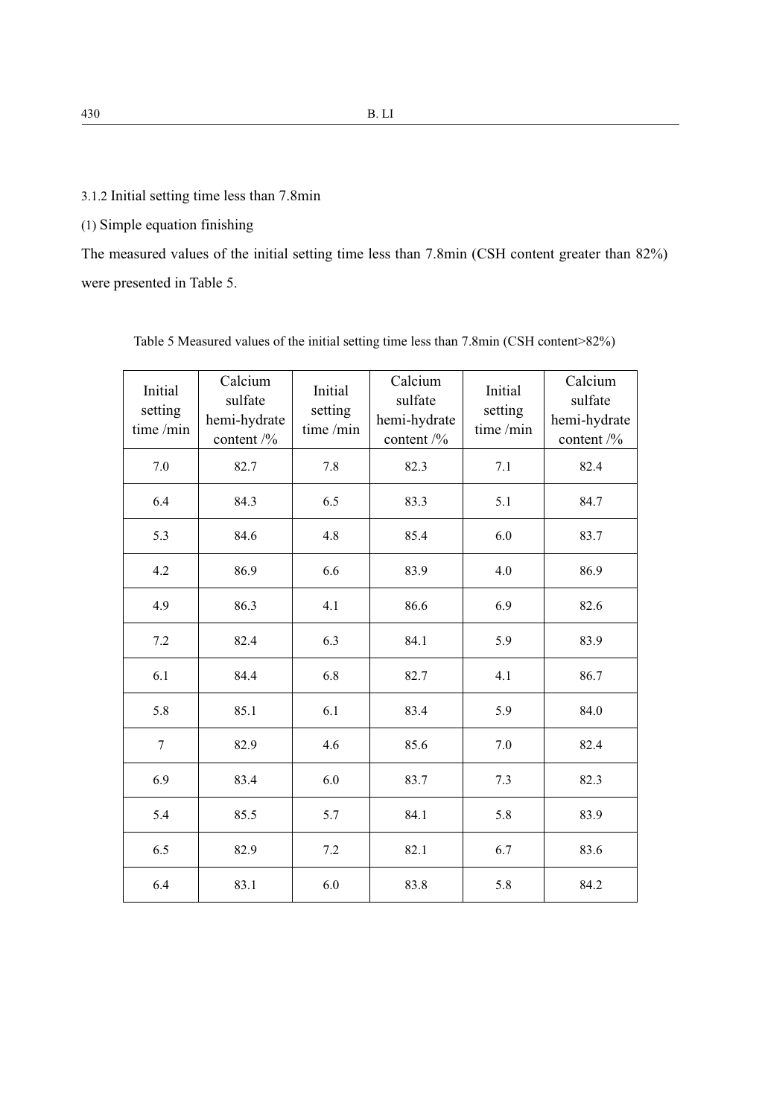3.1.2 Initial setting time less than 7.8min

(1) Simple equation finishing

The measured values of the initial setting time less than 7.8min (CSH content greater than 82%) were presented in Table 5.

| Initial<br>setting<br>time/min | Calcium<br>sulfate<br>hemi-hydrate<br>content $\frac{9}{6}$ | Initial<br>setting<br>time/min | Calcium<br>sulfate<br>hemi-hydrate<br>content $/$ % | Initial<br>setting<br>time/min | Calcium<br>sulfate<br>hemi-hydrate<br>content $\frac{9}{6}$ |
|--------------------------------|-------------------------------------------------------------|--------------------------------|-----------------------------------------------------|--------------------------------|-------------------------------------------------------------|
| 7.0                            | 82.7                                                        | 7.8                            | 82.3                                                | 7.1                            | 82.4                                                        |
| 6.4                            | 84.3                                                        | 6.5                            | 83.3                                                | 5.1                            | 84.7                                                        |
| 5.3                            | 84.6                                                        | 4.8                            | 85.4                                                | 6.0                            | 83.7                                                        |
| 4.2                            | 86.9                                                        | 6.6                            | 83.9                                                | 4.0                            | 86.9                                                        |
| 4.9                            | 86.3                                                        | 4.1                            | 86.6                                                | 6.9                            | 82.6                                                        |
| 7.2                            | 82.4                                                        | 6.3                            | 84.1                                                | 5.9                            | 83.9                                                        |
| 6.1                            | 84.4                                                        | 6.8                            | 82.7                                                | 4.1                            | 86.7                                                        |
| 5.8                            | 85.1                                                        | 6.1                            | 83.4                                                | 5.9                            | 84.0                                                        |
| $\overline{7}$                 | 82.9                                                        | 4.6                            | 85.6                                                | 7.0                            | 82.4                                                        |
| 6.9                            | 83.4                                                        | 6.0                            | 83.7                                                | 7.3                            | 82.3                                                        |
| 5.4                            | 85.5                                                        | 5.7                            | 84.1                                                | 5.8                            | 83.9                                                        |
| 6.5                            | 82.9                                                        | 7.2                            | 82.1                                                | 6.7                            | 83.6                                                        |
| 6.4                            | 83.1                                                        | 6.0                            | 83.8                                                | 5.8                            | 84.2                                                        |

Table 5 Measured values of the initial setting time less than 7.8min (CSH content>82%)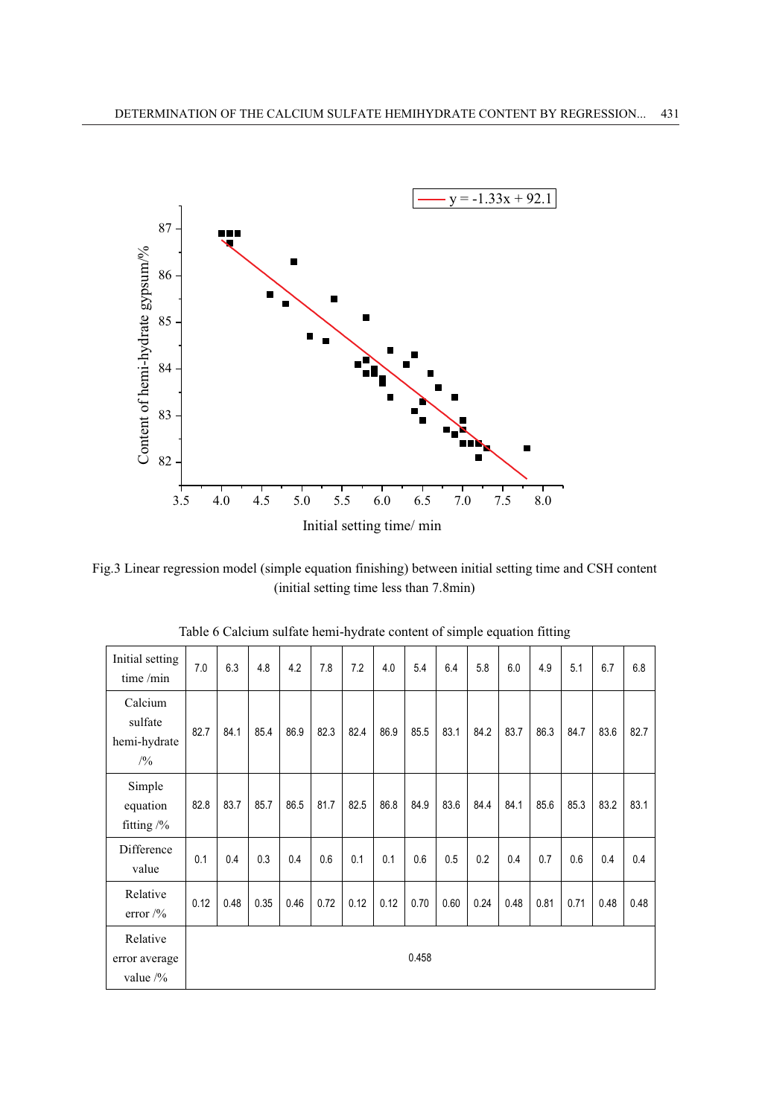

Fig.3 Linear regression model (simple equation finishing) between initial setting time and CSH content (initial setting time less than 7.8min)

| Initial setting<br>time/min                      | 7.0  | 6.3  | 4.8  | 4.2  | 7.8  | 7.2  | 4.0  | 5.4   | 6.4  | 5.8  | 6.0  | 4.9  | 5.1  | 6.7  | 6.8  |
|--------------------------------------------------|------|------|------|------|------|------|------|-------|------|------|------|------|------|------|------|
| Calcium<br>sulfate<br>hemi-hydrate<br>/9/0       | 82.7 | 84.1 | 85.4 | 86.9 | 82.3 | 82.4 | 86.9 | 85.5  | 83.1 | 84.2 | 83.7 | 86.3 | 84.7 | 83.6 | 82.7 |
| Simple<br>equation<br>fitting $/$ %              | 82.8 | 83.7 | 85.7 | 86.5 | 81.7 | 82.5 | 86.8 | 84.9  | 83.6 | 84.4 | 84.1 | 85.6 | 85.3 | 83.2 | 83.1 |
| Difference<br>value                              | 0.1  | 0.4  | 0.3  | 0.4  | 0.6  | 0.1  | 0.1  | 0.6   | 0.5  | 0.2  | 0.4  | 0.7  | 0.6  | 0.4  | 0.4  |
| Relative<br>error $\frac{9}{6}$                  | 0.12 | 0.48 | 0.35 | 0.46 | 0.72 | 0.12 | 0.12 | 0.70  | 0.60 | 0.24 | 0.48 | 0.81 | 0.71 | 0.48 | 0.48 |
| Relative<br>error average<br>value $\frac{9}{6}$ |      |      |      |      |      |      |      | 0.458 |      |      |      |      |      |      |      |

| Table 6 Calcium sulfate hemi-hydrate content of simple equation fitting |  |  |
|-------------------------------------------------------------------------|--|--|
|                                                                         |  |  |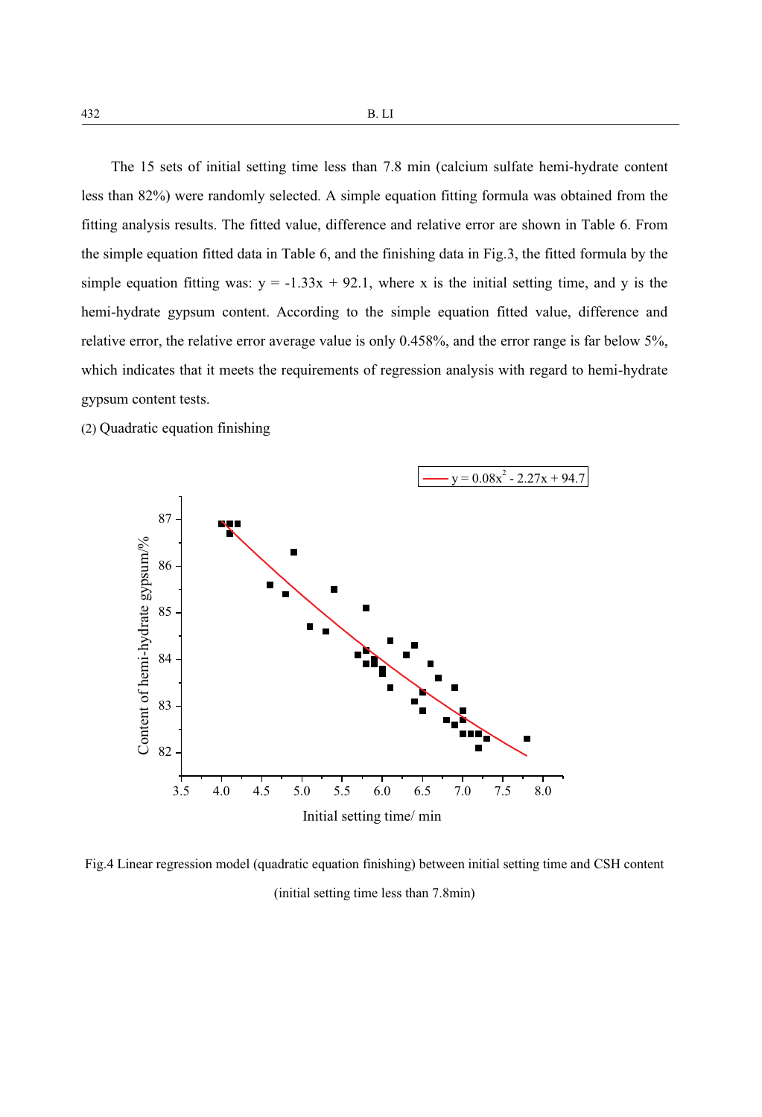The 15 sets of initial setting time less than 7.8 min (calcium sulfate hemi-hydrate content less than 82%) were randomly selected. A simple equation fitting formula was obtained from the fitting analysis results. The fitted value, difference and relative error are shown in Table 6. From the simple equation fitted data in Table 6, and the finishing data in Fig.3, the fitted formula by the simple equation fitting was:  $y = -1.33x + 92.1$ , where x is the initial setting time, and y is the hemi-hydrate gypsum content. According to the simple equation fitted value, difference and relative error, the relative error average value is only 0.458%, and the error range is far below 5%, which indicates that it meets the requirements of regression analysis with regard to hemi-hydrate gypsum content tests.

(2) Quadratic equation finishing



Fig.4 Linear regression model (quadratic equation finishing) between initial setting time and CSH content (initial setting time less than 7.8min)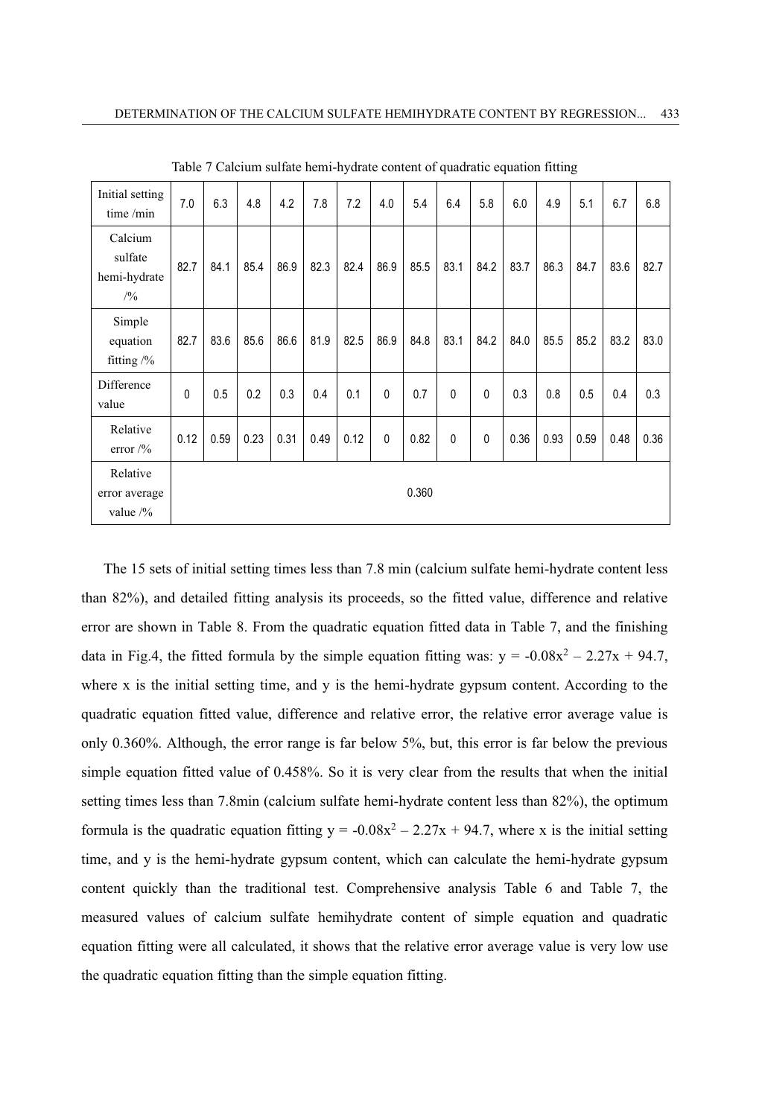| Initial setting<br>time/min                 | 7.0          | 6.3  | 4.8  | 4.2  | 7.8  | 7.2  | 4.0          | 5.4   | 6.4          | 5.8          | 6.0  | 4.9  | 5.1  | 6.7  | 6.8  |
|---------------------------------------------|--------------|------|------|------|------|------|--------------|-------|--------------|--------------|------|------|------|------|------|
| Calcium<br>sulfate<br>hemi-hydrate<br>/9/0  | 82.7         | 84.1 | 85.4 | 86.9 | 82.3 | 82.4 | 86.9         | 85.5  | 83.1         | 84.2         | 83.7 | 86.3 | 84.7 | 83.6 | 82.7 |
| Simple<br>equation<br>fitting $\frac{9}{6}$ | 82.7         | 83.6 | 85.6 | 86.6 | 81.9 | 82.5 | 86.9         | 84.8  | 83.1         | 84.2         | 84.0 | 85.5 | 85.2 | 83.2 | 83.0 |
| Difference<br>value                         | $\mathbf{0}$ | 0.5  | 0.2  | 0.3  | 0.4  | 0.1  | $\mathbf{0}$ | 0.7   | $\mathbf{0}$ | $\mathbf{0}$ | 0.3  | 0.8  | 0.5  | 0.4  | 0.3  |
| Relative<br>error $\frac{9}{6}$             | 0.12         | 0.59 | 0.23 | 0.31 | 0.49 | 0.12 | $\mathbf{0}$ | 0.82  | $\mathbf{0}$ | 0            | 0.36 | 0.93 | 0.59 | 0.48 | 0.36 |
| Relative<br>error average<br>value $/$ %    |              |      |      |      |      |      |              | 0.360 |              |              |      |      |      |      |      |

Table 7 Calcium sulfate hemi-hydrate content of quadratic equation fitting

The 15 sets of initial setting times less than 7.8 min (calcium sulfate hemi-hydrate content less than 82%), and detailed fitting analysis its proceeds, so the fitted value, difference and relative error are shown in Table 8. From the quadratic equation fitted data in Table 7, and the finishing data in Fig.4, the fitted formula by the simple equation fitting was:  $y = -0.08x^2 - 2.27x + 94.7$ , where x is the initial setting time, and y is the hemi-hydrate gypsum content. According to the quadratic equation fitted value, difference and relative error, the relative error average value is only 0.360%. Although, the error range is far below 5%, but, this error is far below the previous simple equation fitted value of 0.458%. So it is very clear from the results that when the initial setting times less than 7.8min (calcium sulfate hemi-hydrate content less than 82%), the optimum formula is the quadratic equation fitting  $y = -0.08x^2 - 2.27x + 94.7$ , where x is the initial setting time, and y is the hemi-hydrate gypsum content, which can calculate the hemi-hydrate gypsum content quickly than the traditional test. Comprehensive analysis Table 6 and Table 7, the measured values of calcium sulfate hemihydrate content of simple equation and quadratic equation fitting were all calculated, it shows that the relative error average value is very low use the quadratic equation fitting than the simple equation fitting.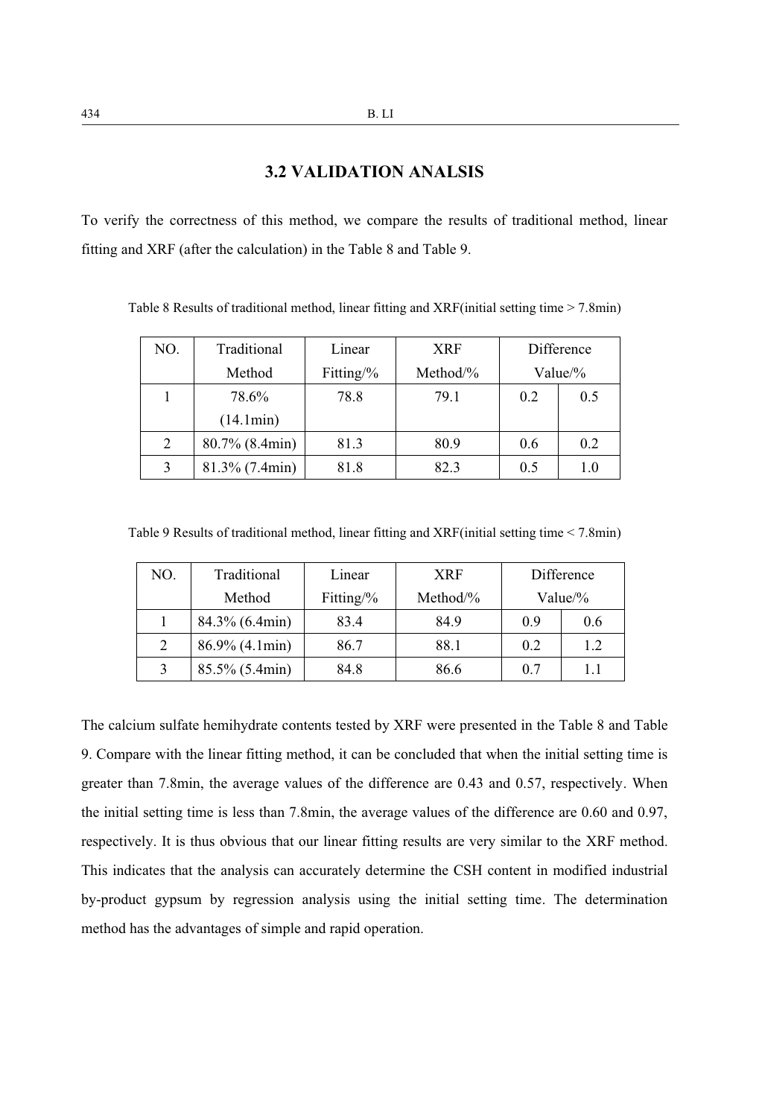# **3.2 VALIDATION ANALSIS**

To verify the correctness of this method, we compare the results of traditional method, linear fitting and XRF (after the calculation) in the Table 8 and Table 9.

| NO. | Traditional       | Linear<br><b>XRF</b> |              |     | Difference  |
|-----|-------------------|----------------------|--------------|-----|-------------|
|     | Method            | Fitting/ $\%$        | Method/ $\%$ |     | Value/ $\%$ |
|     | 78.6%             | 78.8                 | 79.1         | 0.2 | 0.5         |
|     | (14.1min)         |                      |              |     |             |
| 2   | $80.7\%$ (8.4min) | 81.3                 | 80.9         | 0.6 | 0.2         |
| 3   | $81.3\%$ (7.4min) | 81.8                 | 82.3         | 0.5 | 1.0         |

Table 8 Results of traditional method, linear fitting and XRF(initial setting time > 7.8min)

Table 9 Results of traditional method, linear fitting and XRF(initial setting time < 7.8min)

| NO. | Traditional       | Linear        | <b>XRF</b>   |     | Difference  |
|-----|-------------------|---------------|--------------|-----|-------------|
|     | Method            | Fitting/ $\%$ | Method/ $\%$ |     | Value/ $\%$ |
|     | 84.3% (6.4min)    | 83.4          | 84.9         | 0.9 | 0.6         |
| 2   | $86.9\%$ (4.1min) | 86.7          | 88.1         | 0.2 | 1.2         |
| 3   | 85.5% (5.4min)    | 84.8          | 86.6         | 0.7 | 1.1         |

The calcium sulfate hemihydrate contents tested by XRF were presented in the Table 8 and Table 9. Compare with the linear fitting method, it can be concluded that when the initial setting time is greater than 7.8min, the average values of the difference are 0.43 and 0.57, respectively. When the initial setting time is less than 7.8min, the average values of the difference are 0.60 and 0.97, respectively. It is thus obvious that our linear fitting results are very similar to the XRF method. This indicates that the analysis can accurately determine the CSH content in modified industrial by-product gypsum by regression analysis using the initial setting time. The determination method has the advantages of simple and rapid operation.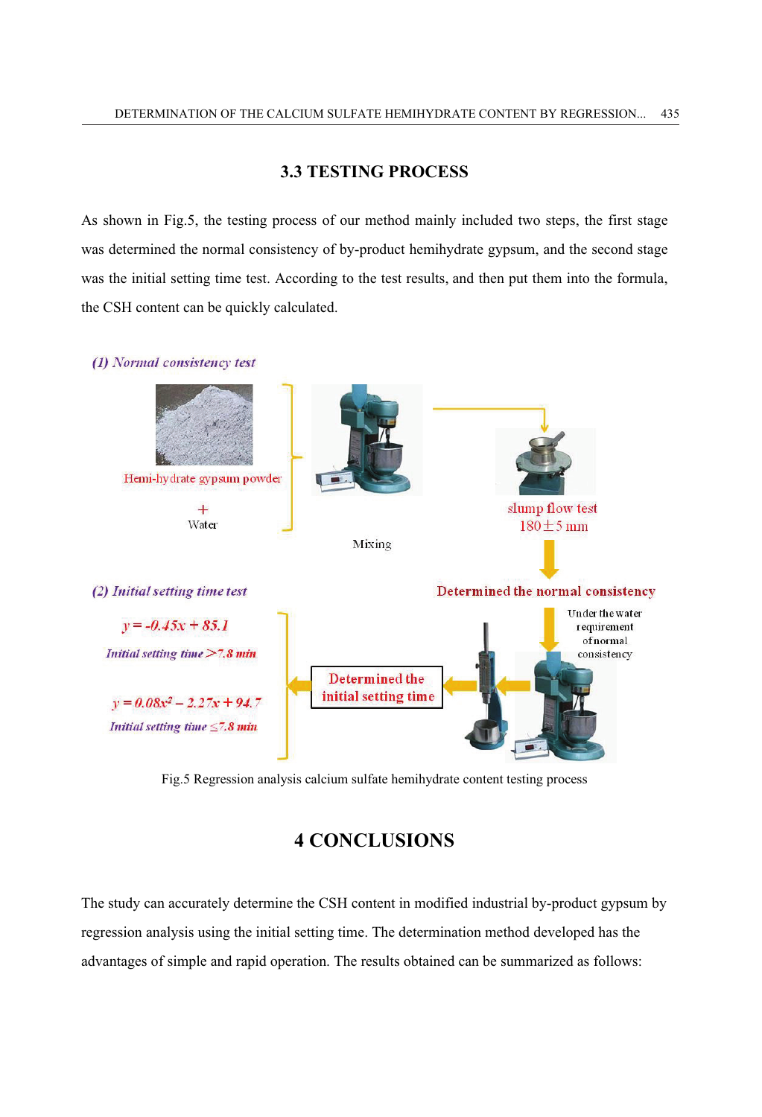## **3.3 TESTING PROCESS**

As shown in Fig.5, the testing process of our method mainly included two steps, the first stage was determined the normal consistency of by-product hemihydrate gypsum, and the second stage was the initial setting time test. According to the test results, and then put them into the formula, the CSH content can be quickly calculated.



Fig.5 Regression analysis calcium sulfate hemihydrate content testing process

# **4 CONCLUSIONS**

The study can accurately determine the CSH content in modified industrial by-product gypsum by regression analysis using the initial setting time. The determination method developed has the advantages of simple and rapid operation. The results obtained can be summarized as follows: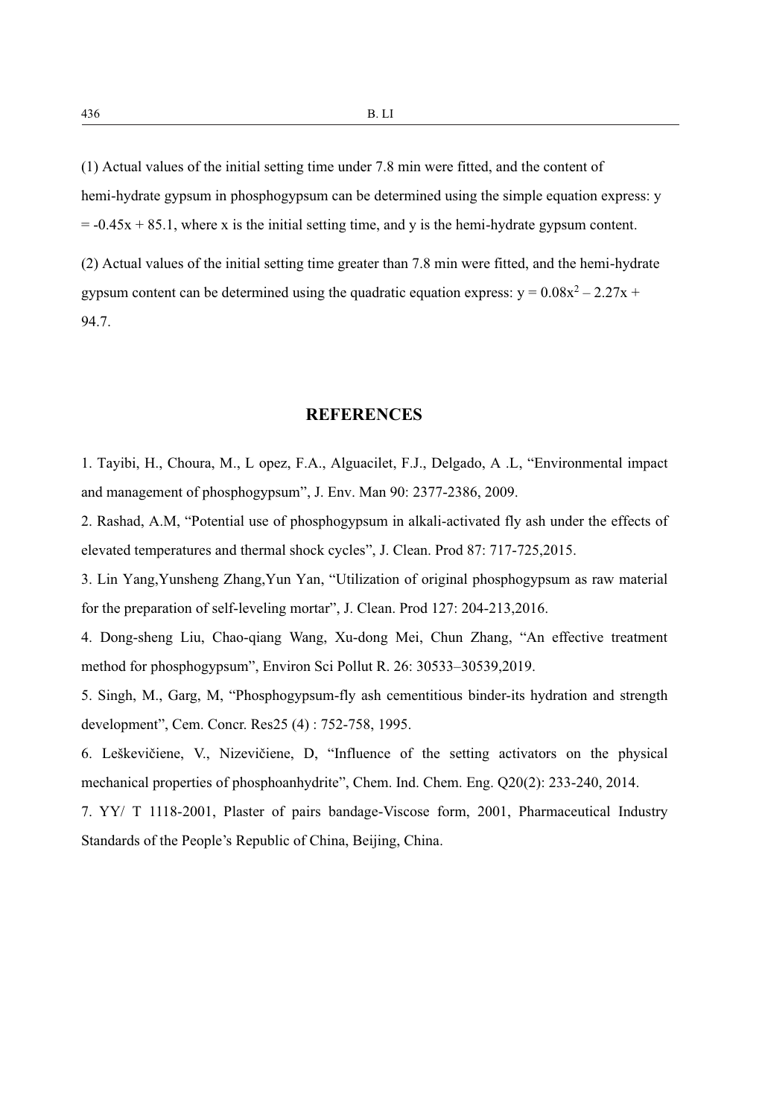(1) Actual values of the initial setting time under 7.8 min were fitted, and the content of hemi-hydrate gypsum in phosphogypsum can be determined using the simple equation express: y  $= -0.45x + 85.1$ , where x is the initial setting time, and y is the hemi-hydrate gypsum content.

(2) Actual values of the initial setting time greater than 7.8 min were fitted, and the hemi-hydrate gypsum content can be determined using the quadratic equation express:  $y = 0.08x^2 - 2.27x +$ 94.7.

#### **REFERENCES**

1. Tayibi, H., Choura, M., L opez, F.A., Alguacilet, F.J., Delgado, A .L, "Environmental impact and management of phosphogypsum", J. Env. Man 90: 2377-2386, 2009.

2. Rashad, A.M, "Potential use of phosphogypsum in alkali-activated fly ash under the effects of elevated temperatures and thermal shock cycles", J. Clean. Prod 87: 717-725,2015.

3. Lin Yang,Yunsheng Zhang,Yun Yan, "Utilization of original phosphogypsum as raw material for the preparation of self-leveling mortar", J. Clean. Prod 127: 204-213,2016.

4. Dong-sheng Liu, Chao-qiang Wang, Xu-dong Mei, Chun Zhang, "An effective treatment method for phosphogypsum", Environ Sci Pollut R. 26: 30533–30539,2019.

5. Singh, M., Garg, M, "Phosphogypsum-fly ash cementitious binder-its hydration and strength development", Cem. Concr. Res25 (4) : 752-758, 1995.

6. Leškevičiene, V., Nizevičiene, D, "Influence of the setting activators on the physical mechanical properties of phosphoanhydrite", Chem. Ind. Chem. Eng. Q20(2): 233-240, 2014.

7. YY/ T 1118-2001, Plaster of pairs bandage-Viscose form, 2001, Pharmaceutical Industry Standards of the People's Republic of China, Beijing, China.